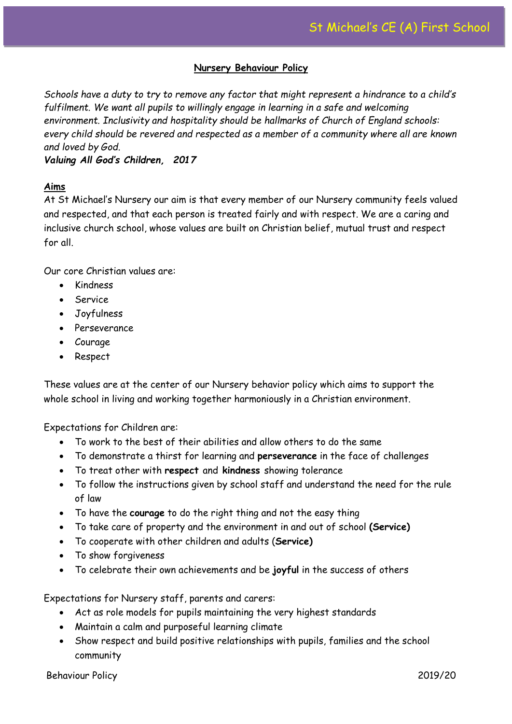# **Nursery Behaviour Policy**

*Schools have a duty to try to remove any factor that might represent a hindrance to a child's fulfilment. We want all pupils to willingly engage in learning in a safe and welcoming environment. Inclusivity and hospitality should be hallmarks of Church of England schools: every child should be revered and respected as a member of a community where all are known and loved by God.*

## *Valuing All God's Children, 2017*

## **Aims**

At St Michael's Nursery our aim is that every member of our Nursery community feels valued and respected, and that each person is treated fairly and with respect. We are a caring and inclusive church school, whose values are built on Christian belief, mutual trust and respect for all.

Our core Christian values are:

- Kindness
- Service
- Joyfulness
- Perseverance
- Courage
- Respect

These values are at the center of our Nursery behavior policy which aims to support the whole school in living and working together harmoniously in a Christian environment.

Expectations for Children are:

- To work to the best of their abilities and allow others to do the same
- To demonstrate a thirst for learning and **perseverance** in the face of challenges
- To treat other with **respect** and **kindness** showing tolerance
- To follow the instructions given by school staff and understand the need for the rule of law
- To have the **courage** to do the right thing and not the easy thing
- To take care of property and the environment in and out of school **(Service)**
- To cooperate with other children and adults (**Service)**
- To show forgiveness
- To celebrate their own achievements and be **joyful** in the success of others

Expectations for Nursery staff, parents and carers:

- Act as role models for pupils maintaining the very highest standards
- Maintain a calm and purposeful learning climate
- Show respect and build positive relationships with pupils, families and the school community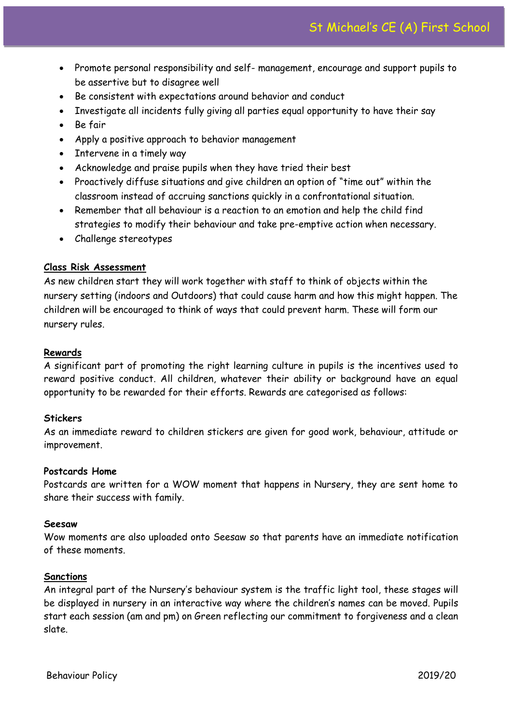- Promote personal responsibility and self- management, encourage and support pupils to be assertive but to disagree well
- Be consistent with expectations around behavior and conduct
- Investigate all incidents fully giving all parties equal opportunity to have their say
- Be fair
- Apply a positive approach to behavior management
- Intervene in a timely way
- Acknowledge and praise pupils when they have tried their best
- Proactively diffuse situations and give children an option of "time out" within the classroom instead of accruing sanctions quickly in a confrontational situation.
- Remember that all behaviour is a reaction to an emotion and help the child find strategies to modify their behaviour and take pre-emptive action when necessary.
- Challenge stereotypes

## **Class Risk Assessment**

As new children start they will work together with staff to think of objects within the nursery setting (indoors and Outdoors) that could cause harm and how this might happen. The children will be encouraged to think of ways that could prevent harm. These will form our nursery rules.

## **Rewards**

A significant part of promoting the right learning culture in pupils is the incentives used to reward positive conduct. All children, whatever their ability or background have an equal opportunity to be rewarded for their efforts. Rewards are categorised as follows:

## **Stickers**

As an immediate reward to children stickers are given for good work, behaviour, attitude or improvement.

#### **Postcards Home**

Postcards are written for a WOW moment that happens in Nursery, they are sent home to share their success with family.

#### **Seesaw**

Wow moments are also uploaded onto Seesaw so that parents have an immediate notification of these moments.

#### **Sanctions**

An integral part of the Nursery's behaviour system is the traffic light tool, these stages will be displayed in nursery in an interactive way where the children's names can be moved. Pupils start each session (am and pm) on Green reflecting our commitment to forgiveness and a clean slate.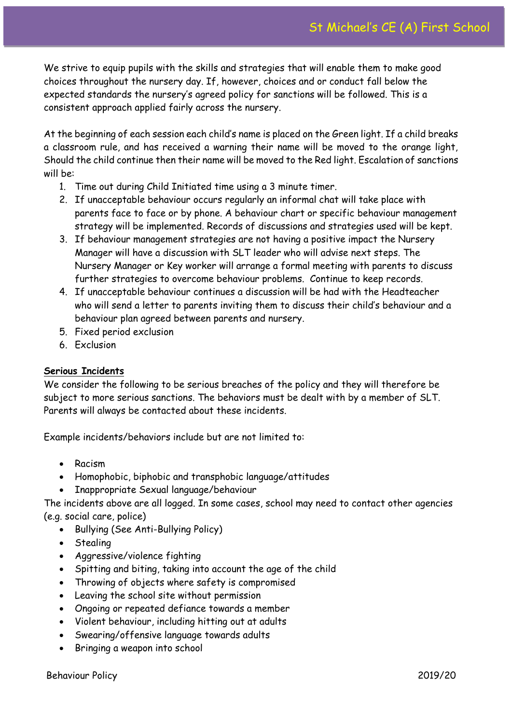We strive to equip pupils with the skills and strategies that will enable them to make good choices throughout the nursery day. If, however, choices and or conduct fall below the expected standards the nursery's agreed policy for sanctions will be followed. This is a consistent approach applied fairly across the nursery.

At the beginning of each session each child's name is placed on the Green light. If a child breaks a classroom rule, and has received a warning their name will be moved to the orange light, Should the child continue then their name will be moved to the Red light. Escalation of sanctions will be:

- 1. Time out during Child Initiated time using a 3 minute timer.
- 2. If unacceptable behaviour occurs regularly an informal chat will take place with parents face to face or by phone. A behaviour chart or specific behaviour management strategy will be implemented. Records of discussions and strategies used will be kept.
- 3. If behaviour management strategies are not having a positive impact the Nursery Manager will have a discussion with SLT leader who will advise next steps. The Nursery Manager or Key worker will arrange a formal meeting with parents to discuss further strategies to overcome behaviour problems. Continue to keep records.
- 4. If unacceptable behaviour continues a discussion will be had with the Headteacher who will send a letter to parents inviting them to discuss their child's behaviour and a behaviour plan agreed between parents and nursery.
- 5. Fixed period exclusion
- 6. Exclusion

# **Serious Incidents**

We consider the following to be serious breaches of the policy and they will therefore be subject to more serious sanctions. The behaviors must be dealt with by a member of SLT. Parents will always be contacted about these incidents.

Example incidents/behaviors include but are not limited to:

- Racism
- Homophobic, biphobic and transphobic language/attitudes
- Inappropriate Sexual language/behaviour

The incidents above are all logged. In some cases, school may need to contact other agencies (e.g. social care, police)

- Bullying (See Anti-Bullying Policy)
- Stealing
- Aggressive/violence fighting
- Spitting and biting, taking into account the age of the child
- Throwing of objects where safety is compromised
- Leaving the school site without permission
- Ongoing or repeated defiance towards a member
- Violent behaviour, including hitting out at adults
- Swearing/offensive language towards adults
- Bringing a weapon into school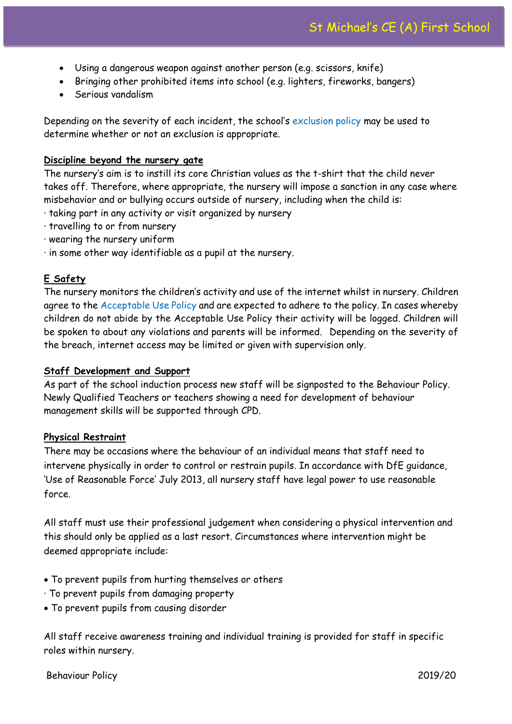- Using a dangerous weapon against another person (e.g. scissors, knife)
- Bringing other prohibited items into school (e.g. lighters, fireworks, bangers)
- Serious vandalism

Depending on the severity of each incident, the school's exclusion policy may be used to determine whether or not an exclusion is appropriate.

## **Discipline beyond the nursery gate**

The nursery's aim is to instill its core Christian values as the t-shirt that the child never takes off. Therefore, where appropriate, the nursery will impose a sanction in any case where misbehavior and or bullying occurs outside of nursery, including when the child is:

- · taking part in any activity or visit organized by nursery
- · travelling to or from nursery
- · wearing the nursery uniform
- · in some other way identifiable as a pupil at the nursery.

# **E Safety**

The nursery monitors the children's activity and use of the internet whilst in nursery. Children agree to the Acceptable Use Policy and are expected to adhere to the policy. In cases whereby children do not abide by the Acceptable Use Policy their activity will be logged. Children will be spoken to about any violations and parents will be informed. Depending on the severity of the breach, internet access may be limited or given with supervision only.

## **Staff Development and Support**

As part of the school induction process new staff will be signposted to the Behaviour Policy. Newly Qualified Teachers or teachers showing a need for development of behaviour management skills will be supported through CPD.

## **Physical Restraint**

There may be occasions where the behaviour of an individual means that staff need to intervene physically in order to control or restrain pupils. In accordance with DfE guidance, 'Use of Reasonable Force' July 2013, all nursery staff have legal power to use reasonable force.

All staff must use their professional judgement when considering a physical intervention and this should only be applied as a last resort. Circumstances where intervention might be deemed appropriate include:

- To prevent pupils from hurting themselves or others
- · To prevent pupils from damaging property
- To prevent pupils from causing disorder

All staff receive awareness training and individual training is provided for staff in specific roles within nursery.

## Behaviour Policy 2019/20